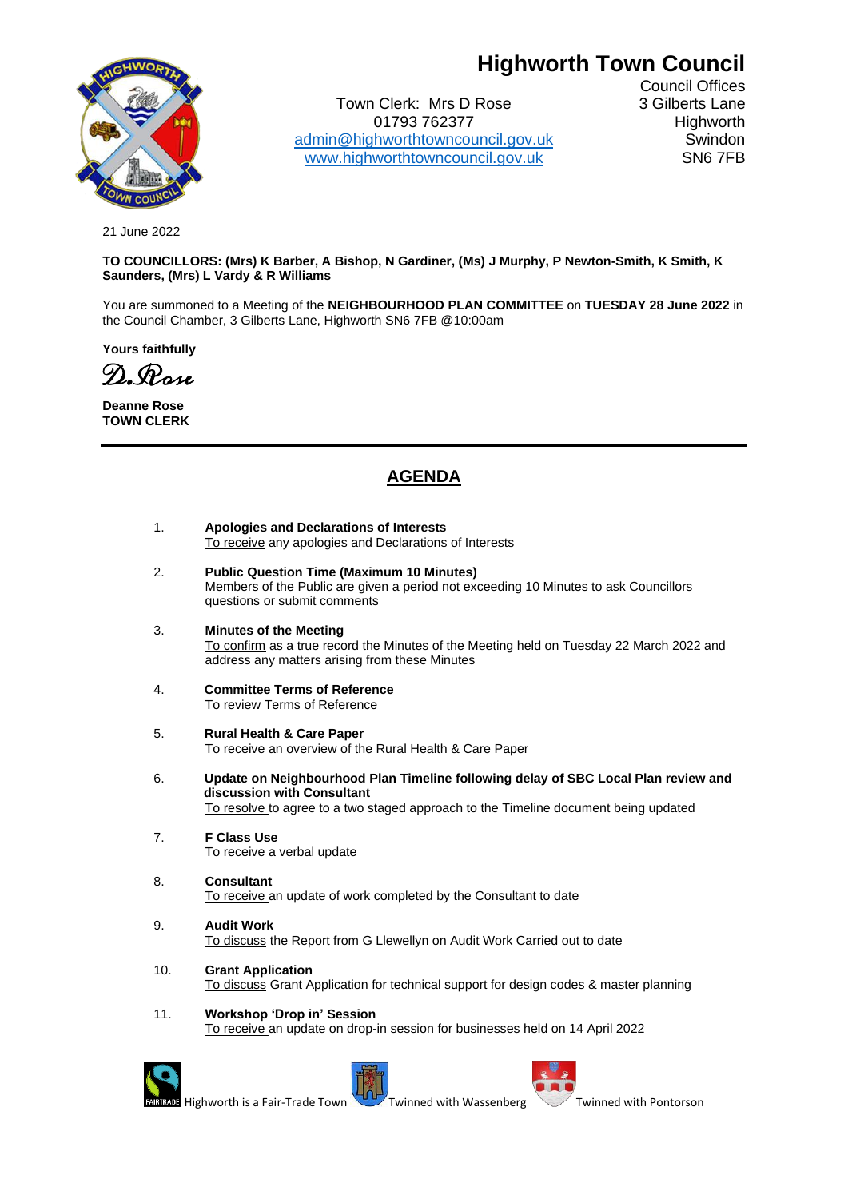# **Highworth Town Council**



Town Clerk: Mrs D Rose 3 Gilberts Lane 01793 762377 Highworth [admin@highworthtowncouncil.gov.uk](mailto:admin@highworthtowncouncil.gov.uk) Swindon [www.highworthtowncouncil.gov.uk](http://www.highworthtowncouncil.gov.uk/) SN6 7FB

Council Offices

21 June 2022

## **TO COUNCILLORS: (Mrs) K Barber, A Bishop, N Gardiner, (Ms) J Murphy, P Newton-Smith, K Smith, K Saunders, (Mrs) L Vardy & R Williams**

You are summoned to a Meeting of the **NEIGHBOURHOOD PLAN COMMITTEE** on **TUESDAY 28 June 2022** in the Council Chamber, 3 Gilberts Lane, Highworth SN6 7FB @10:00am

**Yours faithfully**

D.Rose

**Deanne Rose TOWN CLERK**

# **AGENDA**

- 1. **Apologies and Declarations of Interests** To receive any apologies and Declarations of Interests
- 2. **Public Question Time (Maximum 10 Minutes)** Members of the Public are given a period not exceeding 10 Minutes to ask Councillors questions or submit comments
- 3. **Minutes of the Meeting** To confirm as a true record the Minutes of the Meeting held on Tuesday 22 March 2022 and address any matters arising from these Minutes
- 4. **Committee Terms of Reference** To review Terms of Reference
- 5. **Rural Health & Care Paper** To receive an overview of the Rural Health & Care Paper
- 6. **Update on Neighbourhood Plan Timeline following delay of SBC Local Plan review and discussion with Consultant**  To resolve to agree to a two staged approach to the Timeline document being updated
- 7. **F Class Use** To receive a verbal update
- 8. **Consultant** To receive an update of work completed by the Consultant to date
- 9. **Audit Work** To discuss the Report from G Llewellyn on Audit Work Carried out to date
- 10. **Grant Application** To discuss Grant Application for technical support for design codes & master planning

## 11. **Workshop 'Drop in' Session**

To receive an update on drop-in session for businesses held on 14 April 2022





Highworth is a Fair-Trade Town Twinned with Wassenberg Twinned with Pontorson